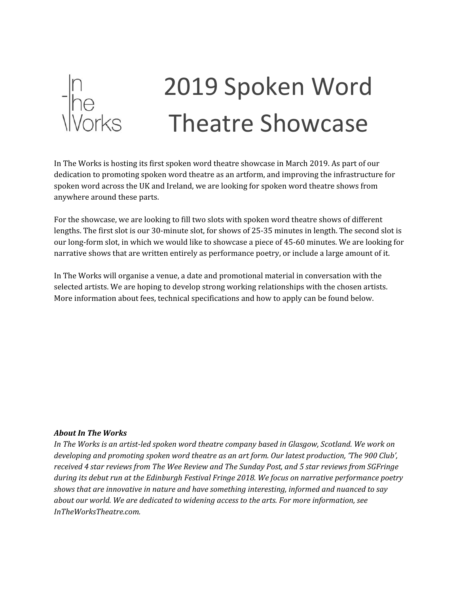

# 2019 Spoken Word Theatre Showcase

In The Works is hosting its first spoken word theatre showcase in March 2019. As part of our dedication to promoting spoken word theatre as an artform, and improving the infrastructure for spoken word across the UK and Ireland, we are looking for spoken word theatre shows from anywhere around these parts.

For the showcase, we are looking to fill two slots with spoken word theatre shows of different lengths. The first slot is our 30-minute slot, for shows of 25-35 minutes in length. The second slot is our long-form slot, in which we would like to showcase a piece of 45-60 minutes. We are looking for narrative shows that are written entirely as performance poetry, or include a large amount of it.

In The Works will organise a venue, a date and promotional material in conversation with the selected artists. We are hoping to develop strong working relationships with the chosen artists. More information about fees, technical specifications and how to apply can be found below.

#### *About In The Works*

*In The Works is an artist-led spoken word theatre company based in Glasgow, Scotland. We work on developing and promoting spoken word theatre as an art form. Our latest production, 'The 900 Club', received 4 star reviews from The Wee Review and The Sunday Post, and 5 star reviews from SGFringe during its debut run at the Edinburgh Festival Fringe 2018. We focus on narrative performance poetry shows that are innovative in nature and have something interesting, informed and nuanced to say about our world. We are dedicated to widening access to the arts. For more information, see InTheWorksTheatre.com.*